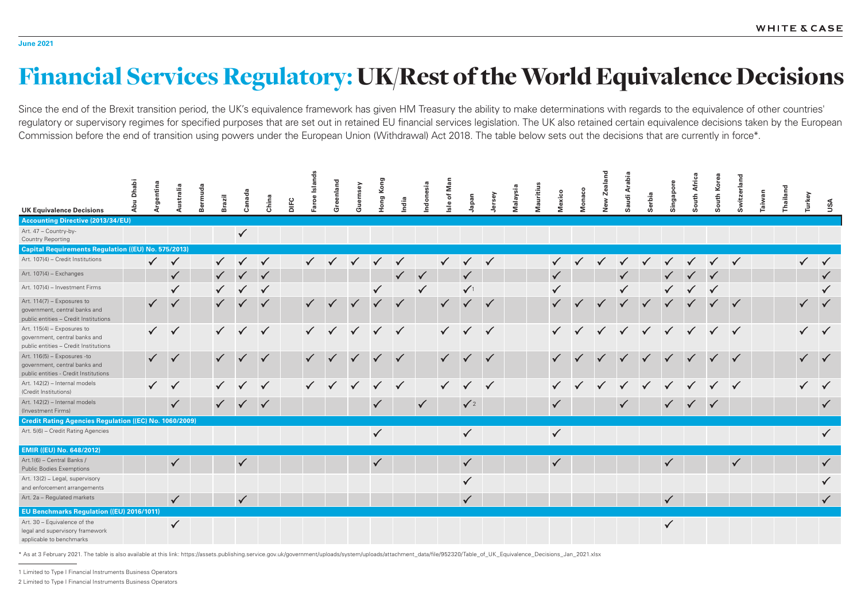## Financial Services Regulatory: UK/Rest of the World Equivalence Decisions

Since the end of the Brexit transition period, the UK's equivalence framework has given HM Treasury the ability to make determinations with regards to the equivalence of other countries' regulatory or supervisory regimes for specified purposes that are set out in retained EU financial services legislation. The UK also retained certain equivalence decisions taken by the European Commission before the end of transition using powers under the European Union (Withdrawal) Act 2018. The table below sets out the decisions that are currently in force\*.



|                                                                                                       | <b>Dhabi</b><br>Abu | Argentina    | Australia    | Bermuda | <b>Brazil</b> | Canada       | China        | <b>DIFC</b> | Faroe Islands | Greenland    | Guernsey     | Hong Kong    | India        | ndonesia     | Isle of Man  | Japan        | Jersey       | Malaysia | Mauritius | Mexico       | Monaco       | New Zealand  | <b>Arabia</b><br>Saudi |  |
|-------------------------------------------------------------------------------------------------------|---------------------|--------------|--------------|---------|---------------|--------------|--------------|-------------|---------------|--------------|--------------|--------------|--------------|--------------|--------------|--------------|--------------|----------|-----------|--------------|--------------|--------------|------------------------|--|
| <b>UK Equivalence Decisions</b>                                                                       |                     |              |              |         |               |              |              |             |               |              |              |              |              |              |              |              |              |          |           |              |              |              |                        |  |
| <b>Accounting Directive (2013/34/EU)</b><br>Art. 47 - Country-by-<br><b>Country Reporting</b>         |                     |              |              |         |               | $\checkmark$ |              |             |               |              |              |              |              |              |              |              |              |          |           |              |              |              |                        |  |
| <b>Capital Requirements Regulation ((EU) No. 575/2013)</b>                                            |                     |              |              |         |               |              |              |             |               |              |              |              |              |              |              |              |              |          |           |              |              |              |                        |  |
| Art. 107(4) - Credit Institutions                                                                     |                     | $\checkmark$ | $\checkmark$ |         |               |              | $\checkmark$ |             |               |              |              |              |              |              | $\checkmark$ | $\checkmark$ |              |          |           |              |              |              |                        |  |
| Art. 107(4) - Exchanges                                                                               |                     |              | $\checkmark$ |         |               |              |              |             |               |              |              |              |              |              |              |              |              |          |           |              |              |              |                        |  |
| Art. 107(4) - Investment Firms                                                                        |                     |              | $\checkmark$ |         |               |              | $\checkmark$ |             |               |              |              | $\checkmark$ |              | $\checkmark$ |              | $\sqrt{1}$   |              |          |           |              |              |              |                        |  |
| Art. 114(7) - Exposures to<br>government, central banks and<br>public entities - Credit Institutions  |                     |              | $\sqrt{}$    |         |               |              | $\checkmark$ |             | $\checkmark$  |              |              |              | $\checkmark$ |              | $\checkmark$ |              | $\checkmark$ |          |           |              | $\checkmark$ | $\checkmark$ |                        |  |
| Art. 115(4) - Exposures to<br>government, central banks and<br>public entities - Credit Institutions  |                     |              | $\checkmark$ |         | $\checkmark$  | $\checkmark$ | $\checkmark$ |             |               | $\checkmark$ | $\sqrt{}$    | $\checkmark$ | $\checkmark$ |              |              | $\sqrt{}$    | $\checkmark$ |          |           |              |              |              |                        |  |
| Art. 116(5) - Exposures -to<br>government, central banks and<br>public entities - Credit Institutions |                     |              | $\checkmark$ |         |               |              | $\checkmark$ |             | $\checkmark$  |              |              | $\checkmark$ | $\checkmark$ |              | $\checkmark$ |              | $\checkmark$ |          |           |              |              |              |                        |  |
| Art. 142(2) - Internal models<br>(Credit Institutions)                                                |                     |              | $\checkmark$ |         |               |              | $\checkmark$ |             |               |              | $\checkmark$ | $\checkmark$ | $\checkmark$ |              | $\checkmark$ |              |              |          |           |              |              |              |                        |  |
| Art. 142(2) - Internal models<br>(Investment Firms)                                                   |                     |              | $\checkmark$ |         |               |              |              |             |               |              |              | $\checkmark$ |              | $\checkmark$ |              | $\sqrt{2}$   |              |          |           | $\checkmark$ |              |              |                        |  |
| <b>Credit Rating Agencies Regulation ((EC) No. 1060/2009)</b>                                         |                     |              |              |         |               |              |              |             |               |              |              |              |              |              |              |              |              |          |           |              |              |              |                        |  |
| Art. 5(6) - Credit Rating Agencies                                                                    |                     |              |              |         |               |              |              |             |               |              |              | $\checkmark$ |              |              |              | $\checkmark$ |              |          |           | $\checkmark$ |              |              |                        |  |
| <b>EMIR ((EU) No. 648/2012)</b>                                                                       |                     |              |              |         |               |              |              |             |               |              |              |              |              |              |              |              |              |          |           |              |              |              |                        |  |
| Art.1(6) - Central Banks /<br><b>Public Bodies Exemptions</b>                                         |                     |              | $\checkmark$ |         |               | $\checkmark$ |              |             |               |              |              | $\checkmark$ |              |              |              | $\checkmark$ |              |          |           | $\checkmark$ |              |              |                        |  |
| Art. 13(2) - Legal, supervisory<br>and enforcement arrangements                                       |                     |              |              |         |               |              |              |             |               |              |              |              |              |              |              |              |              |          |           |              |              |              |                        |  |
| Art. 2a - Regulated markets                                                                           |                     |              | $\checkmark$ |         |               | $\checkmark$ |              |             |               |              |              |              |              |              |              | $\checkmark$ |              |          |           |              |              |              |                        |  |
| <b>EU Benchmarks Regulation ((EU) 2016/1011)</b>                                                      |                     |              |              |         |               |              |              |             |               |              |              |              |              |              |              |              |              |          |           |              |              |              |                        |  |
| Art. 30 - Equivalence of the<br>legal and supervisory framework<br>applicable to benchmarks           |                     |              | $\checkmark$ |         |               |              |              |             |               |              |              |              |              |              |              |              |              |          |           |              |              |              |                        |  |

1 Limited to Type I Financial Instruments Business Operators

2 Limited to Type I Financial Instruments Business Operators

\* As at 3 February 2021. The table is also available at this link: https://assets.publishing.service.gov.uk/government/uploads/system/uploads/attachment\_data/file/952320/Table\_of\_UK\_Equivalence\_Decisions\_Jan\_2021.xlsx